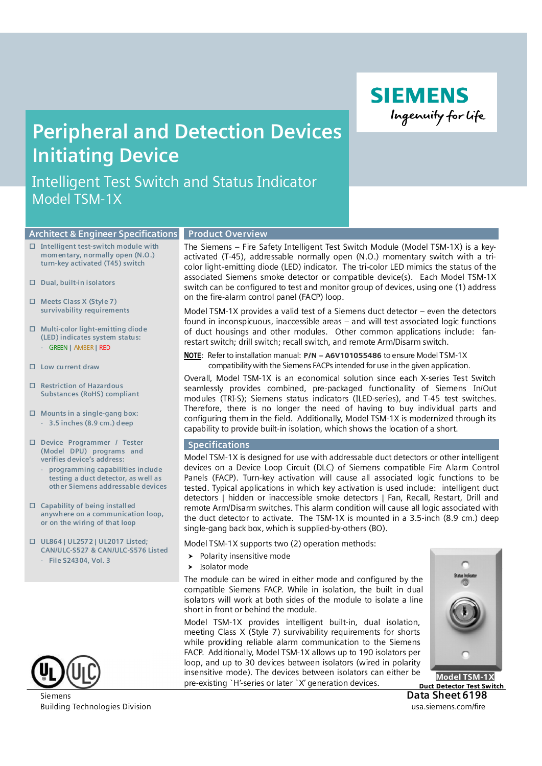Ingenuity for life

**SIEMENS** 

# **Peripheral and Detection Devices Initiating Device**

Intelligent Test Switch and Status Indicator Model TSM-1X

#### **Product Overview Architect & Engineer Specifications**

- ν **Intelligent test-switch module with momentary, normally open (N.O.) turn-key activated (T45) switch**
- ν **Dual, built-in isolators**
- ν **Meets Class X (Style 7) survivability requirements**
- ν **Multi-color light-emitting diode (LED) indicates system status:** - GREEN **|** AMBER **|** RED
- ν **Low current draw**
- ν **Restriction of Hazardous Substances (RoHS) compliant**
- ν **Mounts in a single-gang box:** - **3.5 inches (8.9 cm.) deep**
- ν **Device Programmer / Tester (Model DPU) programs and verifies device's address:**
	- **programming capabilities include testing a duct detector, as well as other Siemens addressable devices**
- ν **Capability of being installed anywhere on a communication loop, or on the wiring of that loop**
- ν **UL864 | UL2572 | UL2017 Listed; CAN/ULC-S527 & CAN/ULC-S576 Listed**
	- **File S24304, Vol. 3**



Building Technologies Division **Example 2018** and the state of the state of the state of the state of the state of the state of the state of the state of the state of the state of the state of the state of the state of the

The Siemens – Fire Safety Intelligent Test Switch Module (Model TSM-1X) is a keyactivated (T-45), addressable normally open (N.O.) momentary switch with a tricolor light-emitting diode (LED) indicator. The tri-color LED mimics the status of the associated Siemens smoke detector or compatible device(s). Each Model TSM-1X switch can be configured to test and monitor group of devices, using one (1) address on the fire-alarm control panel (FACP) loop.

Model TSM-1X provides a valid test of a Siemens duct detector – even the detectors found in inconspicuous, inaccessible areas – and will test associated logic functions of duct housings and other modules. Other common applications include: fanrestart switch; drill switch; recall switch, and remote Arm/Disarm switch.

**NOTE**: Refer to installation manual: P/N – A6V101055486 to ensure Model TSM-1X compatibility with the Siemens FACPs intended for use in the given application.

Overall, Model TSM-1X is an economical solution since each X-series Test Switch seamlessly provides combined, pre-packaged functionality of Siemens In/Out modules (TRI-S); Siemens status indicators (ILED-series), and T-45 test switches. Therefore, there is no longer the need of having to buy individual parts and configuring them in the field. Additionally, Model TSM-1X is modernized through its capability to provide built-in isolation, which shows the location of a short.

#### **Specifications**

Model TSM-1X is designed for use with addressable duct detectors or other intelligent devices on a Device Loop Circuit (DLC) of Siemens compatible Fire Alarm Control Panels (FACP). Turn-key activation will cause all associated logic functions to be tested. Typical applications in which key activation is used include: intelligent duct detectors | hidden or inaccessible smoke detectors | Fan, Recall, Restart, Drill and remote Arm/Disarm switches. This alarm condition will cause all logic associated with the duct detector to activate. The TSM-1X is mounted in a 3.5-inch (8.9 cm.) deep single-gang back box, which is supplied-by-others (BO).

Model TSM-1X supports two (2) operation methods:

- $\blacktriangleright$  Polarity insensitive mode
- $\blacktriangleright$  Isolator mode

The module can be wired in either mode and configured by the compatible Siemens FACP. While in isolation, the built in dual isolators will work at both sides of the module to isolate a line short in front or behind the module.

Model TSM-1X provides intelligent built-in, dual isolation, meeting Class X (Style 7) survivability requirements for shorts while providing reliable alarm communication to the Siemens FACP. Additionally, Model TSM-1X allows up to 190 isolators per loop, and up to 30 devices between isolators (wired in polarity insensitive mode). The devices between isolators can either be pre-existing `H'-series or later `X' generation devices.



Siemens **Data Sheet 6198** Duct Detector Test Switch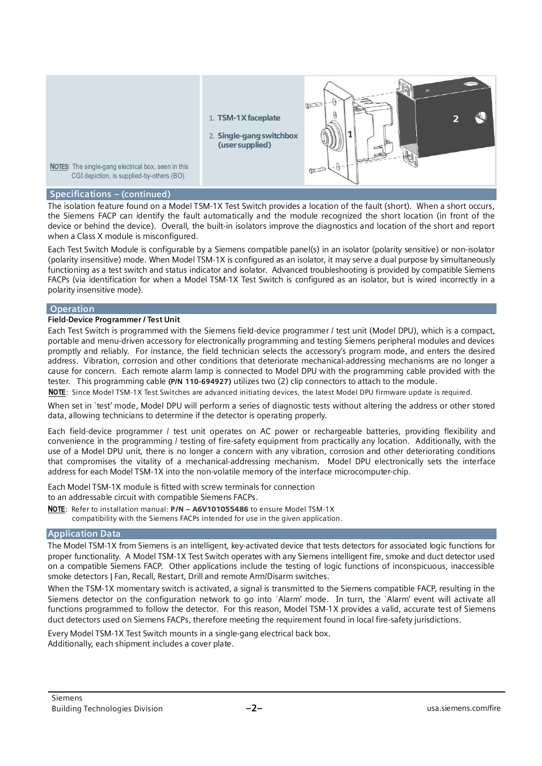

#### **Specifications – (continued)**

The isolation feature found on a Model TSM-1X Test Switch provides a location of the fault (short). When a short occurs, the Siemens FACP can identify the fault automatically and the module recognized the short location (in front of the device or behind the device). Overall, the built-in isolators improve the diagnostics and location of the short and report when a Class X module is misconfigured.

Each Test Switch Module is configurable by a Siemens compatible panel(s) in an isolator (polarity sensitive) or non-isolator (polarity insensitive) mode. When Model TSM-1X is configured as an isolator, it may serve a dual purpose by simultaneously functioning as a test switch and status indicator and isolator. Advanced troubleshooting is provided by compatible Siemens FACPs (via identification for when a Model TSM-1X Test Switch is configured as an isolator, but is wired incorrectly in a polarity insensitive mode).

#### **Operation**

#### **Field-Device Programmer / Test Unit**

Each Test Switch is programmed with the Siemens field-device programmer / test unit (Model DPU), which is a compact, portable and menu-driven accessory for electronically programming and testing Siemens peripheral modules and devices promptly and reliably. For instance, the field technician selects the accessory's program mode, and enters the desired address. Vibration, corrosion and other conditions that deteriorate mechanical-addressing mechanisms are no longer a cause for concern. Each remote alarm lamp is connected to Model DPU with the programming cable provided with the tester. This programming cable **(P/N 110-694927)** utilizes two (2) clip connectors to attach to the module.

**NOTE**: Since Model TSM-1X Test Switches are advanced initiating devices, the latest Model DPU firmware update is required.

When set in `test' mode, Model DPU will perform a series of diagnostic tests without altering the address or other stored data, allowing technicians to determine if the detector is operating properly.

Each field-device programmer / test unit operates on AC power or rechargeable batteries, providing flexibility and convenience in the programming / testing of fire-safety equipment from practically any location. Additionally, with the use of a Model DPU unit, there is no longer a concern with any vibration, corrosion and other deteriorating conditions that compromises the vitality of a mechanical-addressing mechanism. Model DPU electronically sets the interface address for each Model TSM-1X into the non-volatile memory of the interface microcomputer-chip.

Each Model TSM-1X module is fitted with screw terminals for connection to an addressable circuit with compatible Siemens FACPs.

**NOTE**: Refer to installation manual: P/N – A6V101055486 to ensure Model TSM-1X compatibility with the Siemens FACPs intended for use in the given application.

#### **Application Data**

The Model TSM-1X from Siemens is an intelligent, key-activated device that tests detectors for associated logic functions for proper functionality. A Model TSM-1X Test Switch operates with any Siemens intelligent fire, smoke and duct detector used on a compatible Siemens FACP. Other applications include the testing of logic functions of inconspicuous, inaccessible smoke detectors | Fan, Recall, Restart, Drill and remote Arm/Disarm switches.

When the TSM-1X momentary switch is activated, a signal is transmitted to the Siemens compatible FACP, resulting in the Siemens detector on the configuration network to go into `Alarm' mode. In turn, the `Alarm' event will activate all functions programmed to follow the detector. For this reason, Model TSM-1X provides a valid, accurate test of Siemens duct detectors used on Siemens FACPs, therefore meeting the requirement found in local fire-safety jurisdictions.

Every Model TSM-1X Test Switch mounts in a single-gang electrical back box. Additionally, each shipment includes a cover plate.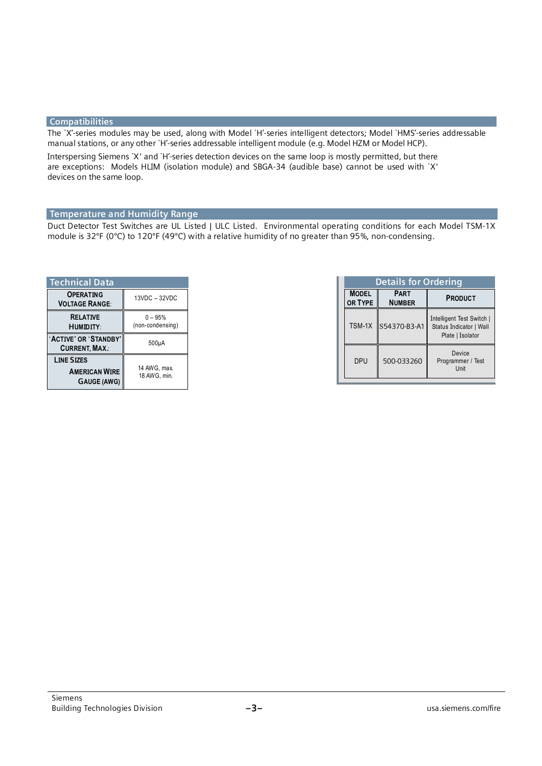### **Compatibilities**

The `X'-series modules may be used, along with Model `H'-series intelligent detectors; Model `HMS'-series addressable manual stations, or any other `H'-series addressable intelligent module (e.g. Model HZM or Model HCP).

Interspersing Siemens `X' and `H'-series detection devices on the same loop is mostly permitted, but there are exceptions: Models HLIM (isolation module) and SBGA-34 (audible base) cannot be used with `X' devices on the same loop.

## **Temperature and Humidity Range**

Duct Detector Test Switches are UL Listed | ULC Listed. Environmental operating conditions for each Model TSM-1X module is 32ºF (0ºC) to 120ºF (49ºC) with a relative humidity of no greater than 95%, non-condensing.

| <b>Technical Data</b>                                           |                               |  |
|-----------------------------------------------------------------|-------------------------------|--|
| <b>OPERATING</b><br><b>VOLTAGE RANGE:</b>                       | 13VDC - 32VDC                 |  |
| <b>RELATIVE</b><br><b>HUMIDITY:</b>                             | $0 - 95%$<br>(non-condensing) |  |
| 'ACTIVE' OR 'STANDBY'<br><b>CURRENT, MAX.:</b>                  | 500 <sub>µ</sub> A            |  |
| <b>LINE SIZES</b><br><b>AMERICAN WIRE</b><br><b>GAUGE (AWG)</b> | 14 AWG, max.<br>18 AWG, min.  |  |

| <b>Details for Ordering</b> |                              |                                                                          |
|-----------------------------|------------------------------|--------------------------------------------------------------------------|
| <b>MODEL</b><br>OR TYPE     | <b>PART</b><br><b>NUMBER</b> | <b>PRODUCT</b>                                                           |
|                             | TSM-1X S54370-B3-A1          | Intelligent Test Switch  <br>Status Indicator   Wall<br>Plate   Isolator |
| <b>DPU</b>                  | 500-033260                   | Device<br>Programmer / Test<br>Unit                                      |